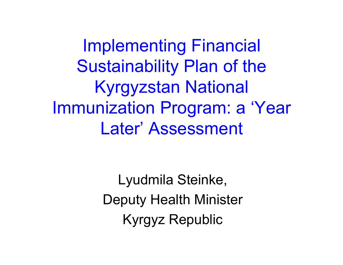Implementing Financial Sustainability Plan of the Kyrgyzstan National Immunization Program: a 'Year Later' Assessment

> Lyudmila Steinke, Deputy Health Minister Kyrgyz Republic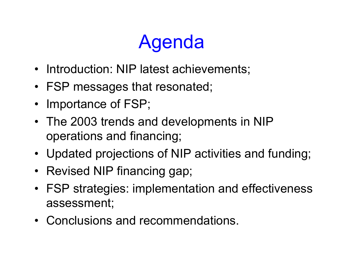# Agenda

- Introduction: NIP latest achievements;
- FSP messages that resonated;
- Importance of FSP;
- The 2003 trends and developments in NIP operations and financing;
- Updated projections of NIP activities and funding;
- Revised NIP financing gap;
- FSP strategies: implementation and effectiveness assessment;
- Conclusions and recommendations.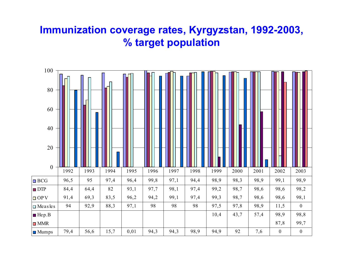#### **Immunization coverage rates, Kyrgyzstan, 1992-2003, % target population**

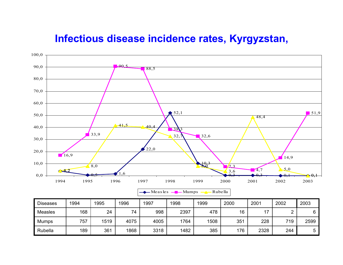#### **Infectious disease incidence rates, Kyrgyzstan,**

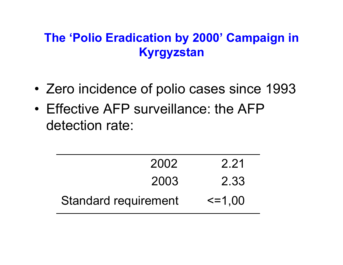#### **The 'Polio Eradication by 2000' Campaign in Kyrgyzstan**

- •Zero incidence of polio cases since 1993
- •Effective AFP surveillance: the AFP detection rate:

| 2002                        | 2.21          |
|-----------------------------|---------------|
| 2003                        | 2.33          |
| <b>Standard requirement</b> | $\leq$ = 1,00 |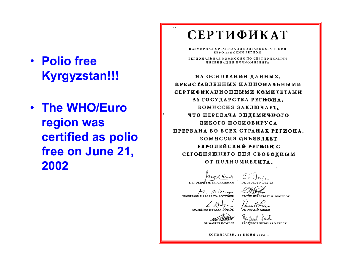#### • **Polio freeKyrgyzstan!!!**

• **The WHO/Euro region was certified as polio free on June 21, 2002**

#### СЕРТИФИКАТ

ВСЕМИРНАЯ ОРГАНИЗАЦИЯ ЗДРАВООХРАНЕНИЯ ЕВРОПЕЙСКИЙ РЕГИОН

РЕГИОНАЛЬНАЯ КОМИССИЯ ПО СЕРТИФИКАЦИИ ЛИКВИДАЦИИ ПОЛИОМИЕЛИТА

НА ОСНОВАНИИ ДАННЫХ, ПРЕДСТАВЛЕННЫХ НАЦИОНАЛЬНЫМИ СЕРТИФИКАЦИОННЫМИ КОМИТЕТАМИ 51 ГОСУДАРСТВА РЕГИОНА, КОМИССИЯ ЗАКЛЮЧАЕТ. ЧТО ПЕРЕДАЧА ЭНДЕМИЧНОГО ДИКОГО ПОЛИОВИРУСА ПРЕРВАНА ВО ВСЕХ СТРАНАХ РЕГИОНА. КОМИССИЯ ОБЪЯВЛЯЕТ ЕВРОПЕЙСКИЙ РЕГИОН С СЕГОДНЯШНЕГО ДНЯ СВОБОДНЫМ ОТ ПОЛИОМИЕЛИТА.

SIR JOSEPH SMITH, CHAIRMAN

M. Bossign PROFESSOR MARGARETA BÖTTIGER

PROFESSOR ISTVAAN DOMOK

DR WALTER DOWDLE

КОПЕНГАГЕН, 21 ИЮНЯ 2002 Г.

DR GEORGE E. DREIER

PROFESSOR SERGEY G. DROZDOV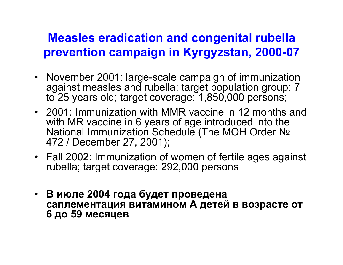#### **Measles eradication and congenital rubella prevention campaign in Kyrgyzstan, 2000-07**

- November 2001: large-scale campaign of immunization against measles and rubella; target population group: 7 to 25 years old; target coverage: 1,850,000 persons;
- 2001: Immunization with MMR vaccine in 12 months and with MR vaccine in 6 years of age introduced into the National Immunization Schedule (The MOH Order № 472 / December 27, 2001);
- Fall 2002: Immunization of women of fertile ages against rubella; target coverage: 292,000 persons
- **В июле 2004 года будет проведена саплементация витамином А детей в возрасте от 6 до 59 месяцев**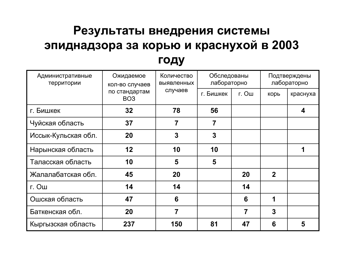#### **Результаты внедрения системы эпиднадзора за корью <sup>и</sup> краснухой <sup>в</sup> 2003 году**

| Административные<br>Ожидаемое<br>территории<br>кол-во случаев | Количество<br><b>ВЫЯВЛЕННЫХ</b>             | Обследованы<br>лабораторно |       | Подтверждены<br>лабораторно |                |   |
|---------------------------------------------------------------|---------------------------------------------|----------------------------|-------|-----------------------------|----------------|---|
|                                                               | случаев<br>по стандартам<br>BO <sub>3</sub> | г. Бишкек                  | г. Ош | корь                        | краснуха       |   |
| г. Бишкек                                                     | 32                                          | 78                         | 56    |                             |                | 4 |
| Чуйская область                                               | 37                                          | 7                          | 7     |                             |                |   |
| Иссык-Кульская обл.                                           | 20                                          | 3                          | 3     |                             |                |   |
| Нарынская область                                             | 12                                          | 10                         | 10    |                             |                | 1 |
| Таласская область                                             | 10                                          | 5                          | 5     |                             |                |   |
| Жалалабатская обл.                                            | 45                                          | 20                         |       | 20                          | $\overline{2}$ |   |
| г. Ош                                                         | 14                                          | 14                         |       | 14                          |                |   |
| Ошская область                                                | 47                                          | 6                          |       | 6                           | 1              |   |
| Баткенская обл.                                               | 20                                          | 7                          |       | 7                           | $\mathbf{3}$   |   |
| Кыргызская область                                            | 237                                         | 150                        | 81    | 47                          | 6              | 5 |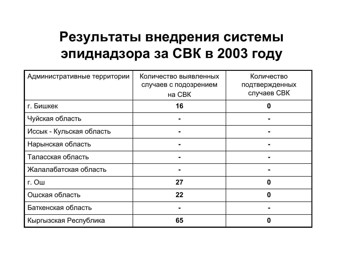### **Результаты внедрения системы эпиднадзора за СВК <sup>в</sup> 2003 году**

| Административные территории | Количество выявленных<br>случаев с подозрением<br><b>на СВК</b> | Количество<br>подтвержденных<br>случаев СВК |
|-----------------------------|-----------------------------------------------------------------|---------------------------------------------|
| г. Бишкек                   | 16                                                              | 0                                           |
| Чуйская область             |                                                                 |                                             |
| Иссык - Кульская область    |                                                                 |                                             |
| Нарынская область           |                                                                 |                                             |
| Таласская область           |                                                                 |                                             |
| Жалалабатская область       |                                                                 |                                             |
| г. Ош                       | 27                                                              | 0                                           |
| Ошская область              | 22                                                              | 0                                           |
| Баткенская область          |                                                                 |                                             |
| Кыргызская Республика       | 65                                                              | 0                                           |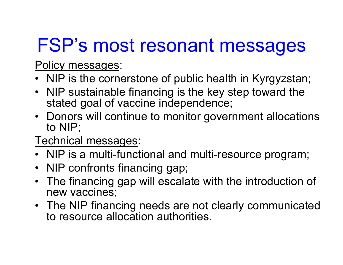## FSP's most resonant messages

Policy messages:

- NIP is the cornerstone of public health in Kyrgyzstan;
- NIP sustainable financing is the key step toward the stated goal of vaccine independence;
- Donors will continue to monitor government allocations to NIP;
- Technical messages:
- NIP is a multi-functional and multi-resource program;
- NIP confronts financing gap;
- The financing gap will escalate with the introduction of new vaccines;
- The NIP financing needs are not clearly communicated to resource allocation authorities.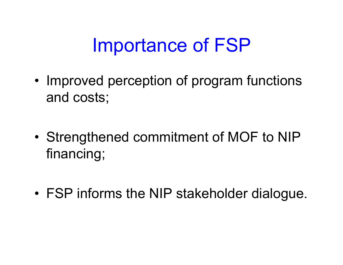## Importance of FSP

•• Improved perception of program functions and costs;

• Strengthened commitment of MOF to NIP financing;

•FSP informs the NIP stakeholder dialogue.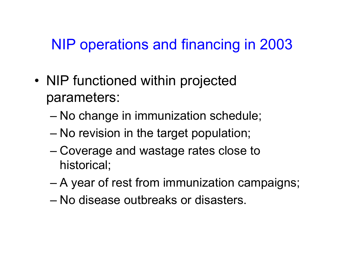### NIP operations and financing in 2003

- •• NIP functioned within projected parameters:
	- No change in immunization schedule;
	- No revision in the target population;
	- Coverage and wastage rates close to historical;
	- A year of rest from immunization campaigns;
	- –No disease outbreaks or disasters.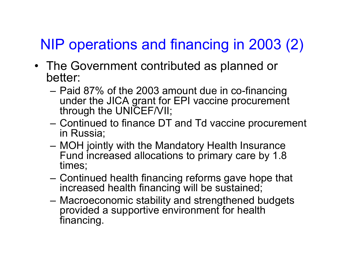## NIP operations and financing in 2003 (2)

- The Government contributed as planned or better:
	- Paid 87% of the 2003 amount due in co-financing under the JICA grant for EPI vaccine procurement through the UNICEF/VII;
	- Continued to finance DT and Td vaccine procurement in Russia;
	- MOH jointly with the Mandatory Health Insurance Fund increased allocations to primary care by 1.8 times;
	- Continued health financing reforms gave hope that increased health financing will be sustained;
	- Macroeconomic stability and strengthened budgets provided a supportive environment for health financing.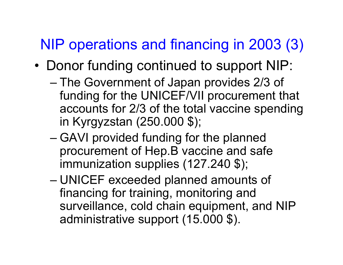### NIP operations and financing in 2003 (3)

- •• Donor funding continued to support NIP:
	- The Government of Japan provides 2/3 of funding for the UNICEF/VII procurement that accounts for 2/3 of the total vaccine spending in Kyrgyzstan (250.000 \$);
	- GAVI provided funding for the planned procurement of Hep.B vaccine and safe immunization supplies (127.240 \$);
	- and the state of the state UNICEF exceeded planned amounts of financing for training, monitoring and surveillance, cold chain equipment, and NIP administrative support (15.000 \$).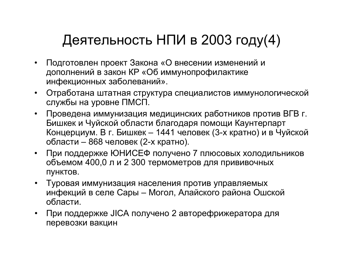### Деятельность НПИ <sup>в</sup> 2003 году(4)

- $\bullet$  Подготовлен проект Закона «О внесении изменений <sup>и</sup> дополнений <sup>в</sup> закон КР «Об иммунопрофилактике инфекционных заболеваний».
- Отработана штатная структура специалистов иммунологической службы на уровне ПМСП.
- $\bullet$  Проведена иммунизация медицинских работников против ВГВ <sup>г</sup>. Бишкек и Чуйской области благодаря помощи Каунтерпарт Концерциум. В <sup>г</sup>. Бишкек – 1441 человек (3-<sup>х</sup> кратно) <sup>и</sup> <sup>в</sup> Чуйской области – 868 человек (2-<sup>х</sup> кратно).
- При поддержке ЮНИСЕФ получено 7 плюсовых холодильников объемом 400,0 <sup>л</sup> <sup>и</sup> 2 300 термометров для прививочных пунктов.
- Туровая иммунизация населения против управляемых инфекций <sup>в</sup> селе Сары – Могол, Алайского района Ошской области.
- При поддержке JICA получено 2 авторефрижератора для перевозки вакцин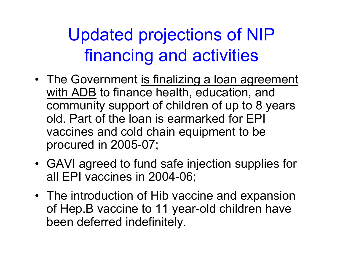## Updated projections of NIP financing and activities

- The Government is finalizing a loan agreement with ADB to finance health, education, and community support of children of up to 8 years old. Part of the loan is earmarked for EPI vaccines and cold chain equipment to be procured in 2005-07;
- GAVI agreed to fund safe injection supplies for all EPI vaccines in 2004-06;
- The introduction of Hib vaccine and expansion of Hep.B vaccine to 11 year-old children have been deferred indefinitely.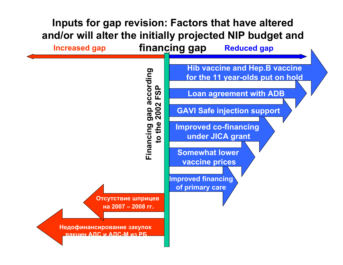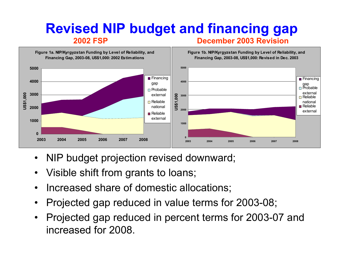#### **Revised NIP budget and financing gap 2002 FSPDecember 2003 Revision**



- •NIP budget projection revised downward;
- •Visible shift from grants to loans;
- •Increased share of domestic allocations;
- •Projected gap reduced in value terms for 2003-08;
- $\bullet$ Projected gap reduced in percent terms for 2003-07 and increased for 2008.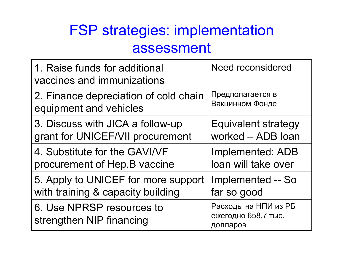### FSP strategies: implementation assessment

| 1. Raise funds for additional<br>vaccines and immunizations | <b>Need reconsidered</b>                                |
|-------------------------------------------------------------|---------------------------------------------------------|
| 2. Finance depreciation of cold chain                       | Предполагается в                                        |
| equipment and vehicles                                      | Вакцинном Фонде                                         |
| 3. Discuss with JICA a follow-up                            | <b>Equivalent strategy</b>                              |
| grant for UNICEF/VII procurement                            | worked - ADB loan                                       |
| 4. Substitute for the GAVI/VF                               | <b>Implemented: ADB</b>                                 |
| procurement of Hep. B vaccine                               | loan will take over                                     |
| 5. Apply to UNICEF for more support                         | <b>Implemented -- So</b>                                |
| with training & capacity building                           | far so good                                             |
| 6. Use NPRSP resources to<br>strengthen NIP financing       | Расходы на НПИ из РБ<br>ежегодно 658,7 тыс.<br>долларов |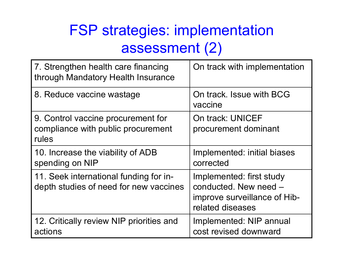### FSP strategies: implementation assessment (2)

| 7. Strengthen health care financing<br>through Mandatory Health Insurance         | On track with implementation                                                                          |
|-----------------------------------------------------------------------------------|-------------------------------------------------------------------------------------------------------|
| 8. Reduce vaccine wastage                                                         | On track. Issue with BCG<br>vaccine                                                                   |
| 9. Control vaccine procurement for<br>compliance with public procurement<br>rules | <b>On track: UNICEF</b><br>procurement dominant                                                       |
| 10. Increase the viability of ADB<br>spending on NIP                              | Implemented: initial biases<br>corrected                                                              |
| 11. Seek international funding for in-<br>depth studies of need for new vaccines  | Implemented: first study<br>conducted. New need -<br>improve surveillance of Hib-<br>related diseases |
| 12. Critically review NIP priorities and<br>actions                               | Implemented: NIP annual<br>cost revised downward                                                      |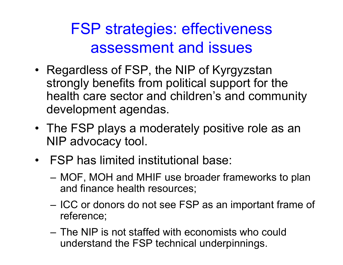## FSP strategies: effectiveness assessment and issues

- Regardless of FSP, the NIP of Kyrgyzstan strongly benefits from political support for the health care sector and children's and community development agendas.
- The FSP plays a moderately positive role as an NIP advocacy tool.
- •FSP has limited institutional base:
	- MOF, MOH and MHIF use broader frameworks to plan and finance health resources;
	- –– ICC or donors do not see FSP as an important frame of reference;
	- –The NIP is not staffed with economists who could understand the FSP technical underpinnings.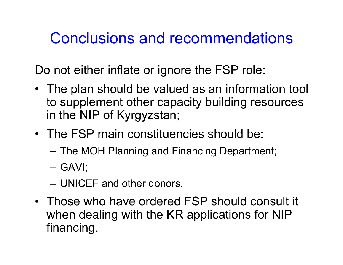### Conclusions and recommendations

Do not either inflate or ignore the FSP role:

- The plan should be valued as an information tool to supplement other capacity building resources in the NIP of Kyrgyzstan;
- •The FSP main constituencies should be:
	- The MOH Planning and Financing Department;
	- G A VI;
	- UNICEF and other donors.
- Those who have ordered FSP should consult it when dealing with the KR applications for NIP financing.